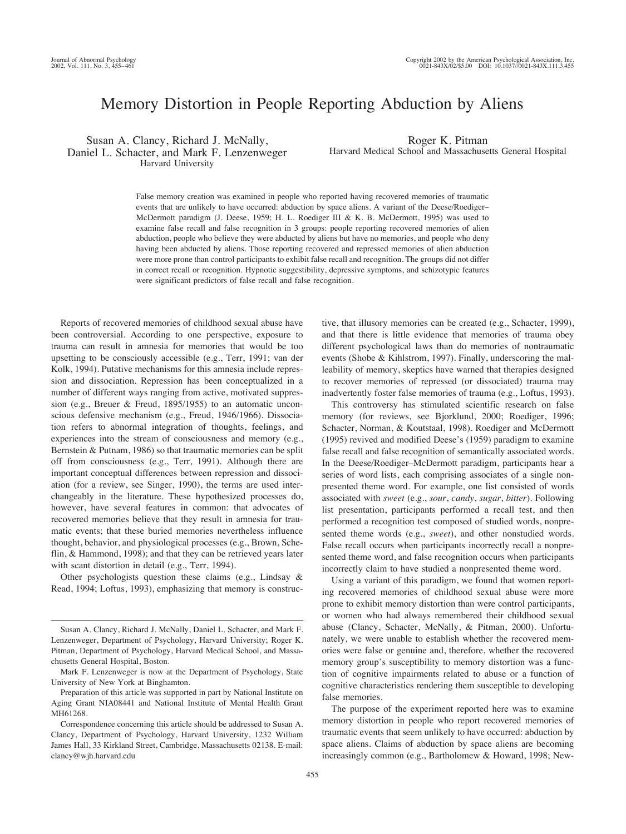# Memory Distortion in People Reporting Abduction by Aliens

Susan A. Clancy, Richard J. McNally, Daniel L. Schacter, and Mark F. Lenzenweger Roger K. Pitman

Harvard Medical School and Massachusetts General Hospital

Harvard University

False memory creation was examined in people who reported having recovered memories of traumatic events that are unlikely to have occurred: abduction by space aliens. A variant of the Deese/Roediger– McDermott paradigm (J. Deese, 1959; H. L. Roediger III & K. B. McDermott, 1995) was used to examine false recall and false recognition in 3 groups: people reporting recovered memories of alien abduction, people who believe they were abducted by aliens but have no memories, and people who deny having been abducted by aliens. Those reporting recovered and repressed memories of alien abduction were more prone than control participants to exhibit false recall and recognition. The groups did not differ in correct recall or recognition. Hypnotic suggestibility, depressive symptoms, and schizotypic features were significant predictors of false recall and false recognition.

Reports of recovered memories of childhood sexual abuse have been controversial. According to one perspective, exposure to trauma can result in amnesia for memories that would be too upsetting to be consciously accessible (e.g., Terr, 1991; van der Kolk, 1994). Putative mechanisms for this amnesia include repression and dissociation. Repression has been conceptualized in a number of different ways ranging from active, motivated suppression (e.g., Breuer & Freud, 1895/1955) to an automatic unconscious defensive mechanism (e.g., Freud, 1946/1966). Dissociation refers to abnormal integration of thoughts, feelings, and experiences into the stream of consciousness and memory (e.g., Bernstein & Putnam, 1986) so that traumatic memories can be split off from consciousness (e.g., Terr, 1991). Although there are important conceptual differences between repression and dissociation (for a review, see Singer, 1990), the terms are used interchangeably in the literature. These hypothesized processes do, however, have several features in common: that advocates of recovered memories believe that they result in amnesia for traumatic events; that these buried memories nevertheless influence thought, behavior, and physiological processes (e.g., Brown, Scheflin, & Hammond, 1998); and that they can be retrieved years later with scant distortion in detail (e.g., Terr, 1994).

Other psychologists question these claims (e.g., Lindsay & Read, 1994; Loftus, 1993), emphasizing that memory is constructive, that illusory memories can be created (e.g., Schacter, 1999), and that there is little evidence that memories of trauma obey different psychological laws than do memories of nontraumatic events (Shobe & Kihlstrom, 1997). Finally, underscoring the malleability of memory, skeptics have warned that therapies designed to recover memories of repressed (or dissociated) trauma may inadvertently foster false memories of trauma (e.g., Loftus, 1993).

This controversy has stimulated scientific research on false memory (for reviews, see Bjorklund, 2000; Roediger, 1996; Schacter, Norman, & Koutstaal, 1998). Roediger and McDermott (1995) revived and modified Deese's (1959) paradigm to examine false recall and false recognition of semantically associated words. In the Deese/Roediger–McDermott paradigm, participants hear a series of word lists, each comprising associates of a single nonpresented theme word. For example, one list consisted of words associated with *sweet* (e.g., *sour*, *candy*, *sugar*, *bitter*). Following list presentation, participants performed a recall test, and then performed a recognition test composed of studied words, nonpresented theme words (e.g., *sweet*), and other nonstudied words. False recall occurs when participants incorrectly recall a nonpresented theme word, and false recognition occurs when participants incorrectly claim to have studied a nonpresented theme word.

Using a variant of this paradigm, we found that women reporting recovered memories of childhood sexual abuse were more prone to exhibit memory distortion than were control participants, or women who had always remembered their childhood sexual abuse (Clancy, Schacter, McNally, & Pitman, 2000). Unfortunately, we were unable to establish whether the recovered memories were false or genuine and, therefore, whether the recovered memory group's susceptibility to memory distortion was a function of cognitive impairments related to abuse or a function of cognitive characteristics rendering them susceptible to developing false memories.

The purpose of the experiment reported here was to examine memory distortion in people who report recovered memories of traumatic events that seem unlikely to have occurred: abduction by space aliens. Claims of abduction by space aliens are becoming increasingly common (e.g., Bartholomew & Howard, 1998; New-

Susan A. Clancy, Richard J. McNally, Daniel L. Schacter, and Mark F. Lenzenweger, Department of Psychology, Harvard University; Roger K. Pitman, Department of Psychology, Harvard Medical School, and Massachusetts General Hospital, Boston.

Mark F. Lenzenweger is now at the Department of Psychology, State University of New York at Binghamton.

Preparation of this article was supported in part by National Institute on Aging Grant NIA08441 and National Institute of Mental Health Grant MH61268.

Correspondence concerning this article should be addressed to Susan A. Clancy, Department of Psychology, Harvard University, 1232 William James Hall, 33 Kirkland Street, Cambridge, Massachusetts 02138. E-mail: clancy@wjh.harvard.edu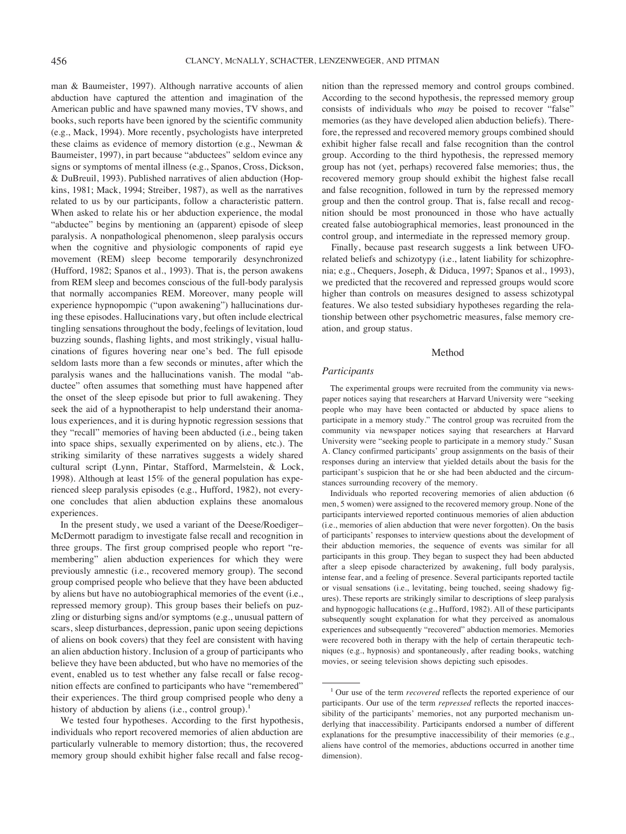man & Baumeister, 1997). Although narrative accounts of alien abduction have captured the attention and imagination of the American public and have spawned many movies, TV shows, and books, such reports have been ignored by the scientific community (e.g., Mack, 1994). More recently, psychologists have interpreted these claims as evidence of memory distortion (e.g., Newman & Baumeister, 1997), in part because "abductees" seldom evince any signs or symptoms of mental illness (e.g., Spanos, Cross, Dickson, & DuBreuil, 1993). Published narratives of alien abduction (Hopkins, 1981; Mack, 1994; Streiber, 1987), as well as the narratives related to us by our participants, follow a characteristic pattern. When asked to relate his or her abduction experience, the modal "abductee" begins by mentioning an (apparent) episode of sleep paralysis. A nonpathological phenomenon, sleep paralysis occurs when the cognitive and physiologic components of rapid eye movement (REM) sleep become temporarily desynchronized (Hufford, 1982; Spanos et al., 1993). That is, the person awakens from REM sleep and becomes conscious of the full-body paralysis that normally accompanies REM. Moreover, many people will experience hypnopompic ("upon awakening") hallucinations during these episodes. Hallucinations vary, but often include electrical tingling sensations throughout the body, feelings of levitation, loud buzzing sounds, flashing lights, and most strikingly, visual hallucinations of figures hovering near one's bed. The full episode seldom lasts more than a few seconds or minutes, after which the paralysis wanes and the hallucinations vanish. The modal "abductee" often assumes that something must have happened after the onset of the sleep episode but prior to full awakening. They seek the aid of a hypnotherapist to help understand their anomalous experiences, and it is during hypnotic regression sessions that they "recall" memories of having been abducted (i.e., being taken into space ships, sexually experimented on by aliens, etc.). The striking similarity of these narratives suggests a widely shared cultural script (Lynn, Pintar, Stafford, Marmelstein, & Lock, 1998). Although at least 15% of the general population has experienced sleep paralysis episodes (e.g., Hufford, 1982), not everyone concludes that alien abduction explains these anomalous experiences.

In the present study, we used a variant of the Deese/Roediger– McDermott paradigm to investigate false recall and recognition in three groups. The first group comprised people who report "remembering" alien abduction experiences for which they were previously amnestic (i.e., recovered memory group). The second group comprised people who believe that they have been abducted by aliens but have no autobiographical memories of the event (i.e., repressed memory group). This group bases their beliefs on puzzling or disturbing signs and/or symptoms (e.g., unusual pattern of scars, sleep disturbances, depression, panic upon seeing depictions of aliens on book covers) that they feel are consistent with having an alien abduction history. Inclusion of a group of participants who believe they have been abducted, but who have no memories of the event, enabled us to test whether any false recall or false recognition effects are confined to participants who have "remembered" their experiences. The third group comprised people who deny a history of abduction by aliens (i.e., control group).<sup>1</sup>

We tested four hypotheses. According to the first hypothesis, individuals who report recovered memories of alien abduction are particularly vulnerable to memory distortion; thus, the recovered memory group should exhibit higher false recall and false recognition than the repressed memory and control groups combined. According to the second hypothesis, the repressed memory group consists of individuals who *may* be poised to recover "false" memories (as they have developed alien abduction beliefs). Therefore, the repressed and recovered memory groups combined should exhibit higher false recall and false recognition than the control group. According to the third hypothesis, the repressed memory group has not (yet, perhaps) recovered false memories; thus, the recovered memory group should exhibit the highest false recall and false recognition, followed in turn by the repressed memory group and then the control group. That is, false recall and recognition should be most pronounced in those who have actually created false autobiographical memories, least pronounced in the control group, and intermediate in the repressed memory group.

Finally, because past research suggests a link between UFOrelated beliefs and schizotypy (i.e., latent liability for schizophrenia; e.g., Chequers, Joseph, & Diduca, 1997; Spanos et al., 1993), we predicted that the recovered and repressed groups would score higher than controls on measures designed to assess schizotypal features. We also tested subsidiary hypotheses regarding the relationship between other psychometric measures, false memory creation, and group status.

# Method

# *Participants*

The experimental groups were recruited from the community via newspaper notices saying that researchers at Harvard University were "seeking people who may have been contacted or abducted by space aliens to participate in a memory study." The control group was recruited from the community via newspaper notices saying that researchers at Harvard University were "seeking people to participate in a memory study." Susan A. Clancy confirmed participants' group assignments on the basis of their responses during an interview that yielded details about the basis for the participant's suspicion that he or she had been abducted and the circumstances surrounding recovery of the memory.

Individuals who reported recovering memories of alien abduction (6 men, 5 women) were assigned to the recovered memory group. None of the participants interviewed reported continuous memories of alien abduction (i.e., memories of alien abduction that were never forgotten). On the basis of participants' responses to interview questions about the development of their abduction memories, the sequence of events was similar for all participants in this group. They began to suspect they had been abducted after a sleep episode characterized by awakening, full body paralysis, intense fear, and a feeling of presence. Several participants reported tactile or visual sensations (i.e., levitating, being touched, seeing shadowy figures). These reports are strikingly similar to descriptions of sleep paralysis and hypnogogic hallucations (e.g., Hufford, 1982). All of these participants subsequently sought explanation for what they perceived as anomalous experiences and subsequently "recovered" abduction memories. Memories were recovered both in therapy with the help of certain therapeutic techniques (e.g., hypnosis) and spontaneously, after reading books, watching movies, or seeing television shows depicting such episodes.

<sup>1</sup> Our use of the term *recovered* reflects the reported experience of our participants. Our use of the term *repressed* reflects the reported inaccessibility of the participants' memories, not any purported mechanism underlying that inaccessibility. Participants endorsed a number of different explanations for the presumptive inaccessibility of their memories (e.g., aliens have control of the memories, abductions occurred in another time dimension).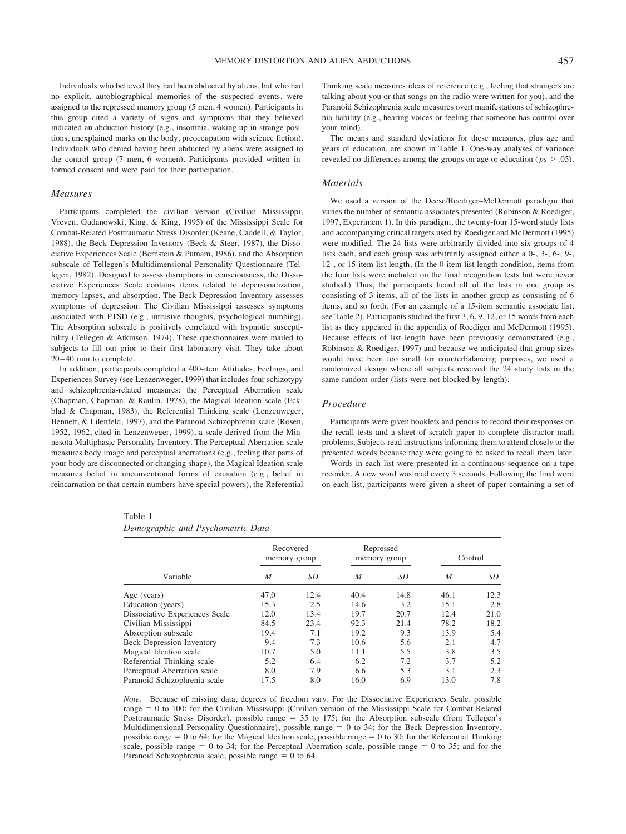Individuals who believed they had been abducted by aliens, but who had no explicit, autobiographical memories of the suspected events, were assigned to the repressed memory group (5 men, 4 women). Participants in this group cited a variety of signs and symptoms that they believed indicated an abduction history (e.g., insomnia, waking up in strange positions, unexplained marks on the body, preoccupation with science fiction). Individuals who denied having been abducted by aliens were assigned to the control group (7 men, 6 women). Participants provided written informed consent and were paid for their participation.

#### *Measures*

Participants completed the civilian version (Civilian Mississippi; Vreven, Gudanowski, King, & King, 1995) of the Mississippi Scale for Combat-Related Posttraumatic Stress Disorder (Keane, Caddell, & Taylor, 1988), the Beck Depression Inventory (Beck & Steer, 1987), the Dissociative Experiences Scale (Bernstein & Putnam, 1986), and the Absorption subscale of Tellegen's Multidimensional Personality Questionnaire (Tellegen, 1982). Designed to assess disruptions in consciousness, the Dissociative Experiences Scale contains items related to depersonalization, memory lapses, and absorption. The Beck Depression Inventory assesses symptoms of depression. The Civilian Mississippi assesses symptoms associated with PTSD (e.g., intrusive thoughts, psychological numbing). The Absorption subscale is positively correlated with hypnotic susceptibility (Tellegen & Atkinson, 1974). These questionnaires were mailed to subjects to fill out prior to their first laboratory visit. They take about 20–40 min to complete.

In addition, participants completed a 400-item Attitudes, Feelings, and Experiences Survey (see Lenzenweger, 1999) that includes four schizotypy and schizophrenia-related measures: the Perceptual Aberration scale (Chapman, Chapman, & Raulin, 1978), the Magical Ideation scale (Eckblad & Chapman, 1983), the Referential Thinking scale (Lenzenweger, Bennett, & Lilenfeld, 1997), and the Paranoid Schizophrenia scale (Rosen, 1952, 1962, cited in Lenzenweger, 1999), a scale derived from the Minnesota Multiphasic Personality Inventory. The Perceptual Aberration scale measures body image and perceptual aberrations (e.g., feeling that parts of your body are disconnected or changing shape), the Magical Ideation scale measures belief in unconventional forms of causation (e.g., belief in reincarnation or that certain numbers have special powers), the Referential

Thinking scale measures ideas of reference (e.g., feeling that strangers are talking about you or that songs on the radio were written for you), and the Paranoid Schizophrenia scale measures overt manifestations of schizophrenia liability (e.g., hearing voices or feeling that someone has control over your mind).

The means and standard deviations for these measures, plus age and years of education, are shown in Table 1. One-way analyses of variance revealed no differences among the groups on age or education ( $p_s$   $> .05$ ).

# *Materials*

We used a version of the Deese/Roediger–McDermott paradigm that varies the number of semantic associates presented (Robinson & Roediger, 1997, Experiment 1). In this paradigm, the twenty-four 15-word study lists and accompanying critical targets used by Roediger and McDermott (1995) were modified. The 24 lists were arbitrarily divided into six groups of 4 lists each, and each group was arbitrarily assigned either a 0-, 3-, 6-, 9-, 12-, or 15-item list length. (In the 0-item list length condition, items from the four lists were included on the final recognition tests but were never studied.) Thus, the participants heard all of the lists in one group as consisting of 3 items, all of the lists in another group as consisting of 6 items, and so forth. (For an example of a 15-item semantic associate list, see Table 2). Participants studied the first 3, 6, 9, 12, or 15 words from each list as they appeared in the appendix of Roediger and McDermott (1995). Because effects of list length have been previously demonstrated (e.g., Robinson & Roediger, 1997) and because we anticipated that group sizes would have been too small for counterbalancing purposes, we used a randomized design where all subjects received the 24 study lists in the same random order (lists were not blocked by length).

### *Procedure*

Participants were given booklets and pencils to record their responses on the recall tests and a sheet of scratch paper to complete distractor math problems. Subjects read instructions informing them to attend closely to the presented words because they were going to be asked to recall them later.

Words in each list were presented in a continuous sequence on a tape recorder. A new word was read every 3 seconds. Following the final word on each list, participants were given a sheet of paper containing a set of

| Demographic and Psychometric Data | Tuviv I |  |  |
|-----------------------------------|---------|--|--|
|                                   |         |  |  |

Table 1

|                                  | Recovered<br>memory group |      | Repressed<br>memory group |                 | Control |                 |
|----------------------------------|---------------------------|------|---------------------------|-----------------|---------|-----------------|
| Variable                         | $\boldsymbol{M}$          | SD   | $\boldsymbol{M}$          | SD <sub>-</sub> | M       | SD <sub>-</sub> |
| Age (years)                      | 47.0                      | 12.4 | 40.4                      | 14.8            | 46.1    | 12.3            |
| Education (years)                | 15.3                      | 2.5  | 14.6                      | 3.2             | 15.1    | 2.8             |
| Dissociative Experiences Scale   | 12.0                      | 13.4 | 19.7                      | 20.7            | 12.4    | 21.0            |
| Civilian Mississippi             | 84.5                      | 23.4 | 92.3                      | 21.4            | 78.2    | 18.2            |
| Absorption subscale              | 19.4                      | 7.1  | 19.2                      | 9.3             | 13.9    | 5.4             |
| <b>Beck Depression Inventory</b> | 9.4                       | 7.3  | 10.6                      | 5.6             | 2.1     | 4.7             |
| Magical Ideation scale           | 10.7                      | 5.0  | 11.1                      | 5.5             | 3.8     | 3.5             |
| Referential Thinking scale       | 5.2                       | 6.4  | 6.2                       | 7.2             | 3.7     | 5.2             |
| Perceptual Aberration scale      | 8.0                       | 7.9  | 6.6                       | 5.3             | 3.1     | 2.3             |
| Paranoid Schizophrenia scale     | 17.5                      | 8.0  | 16.0                      | 6.9             | 13.0    | 7.8             |

*Note.* Because of missing data, degrees of freedom vary. For the Dissociative Experiences Scale, possible range = 0 to 100; for the Civilian Mississippi (Civilian version of the Mississippi Scale for Combat-Related Posttraumatic Stress Disorder), possible range = 35 to 175; for the Absorption subscale (from Tellegen's Multidimensional Personality Questionnaire), possible range  $= 0$  to 34; for the Beck Depression Inventory, possible range  $= 0$  to 64; for the Magical Ideation scale, possible range  $= 0$  to 30; for the Referential Thinking scale, possible range  $= 0$  to 34; for the Perceptual Aberration scale, possible range  $= 0$  to 35; and for the Paranoid Schizophrenia scale, possible range  $= 0$  to 64.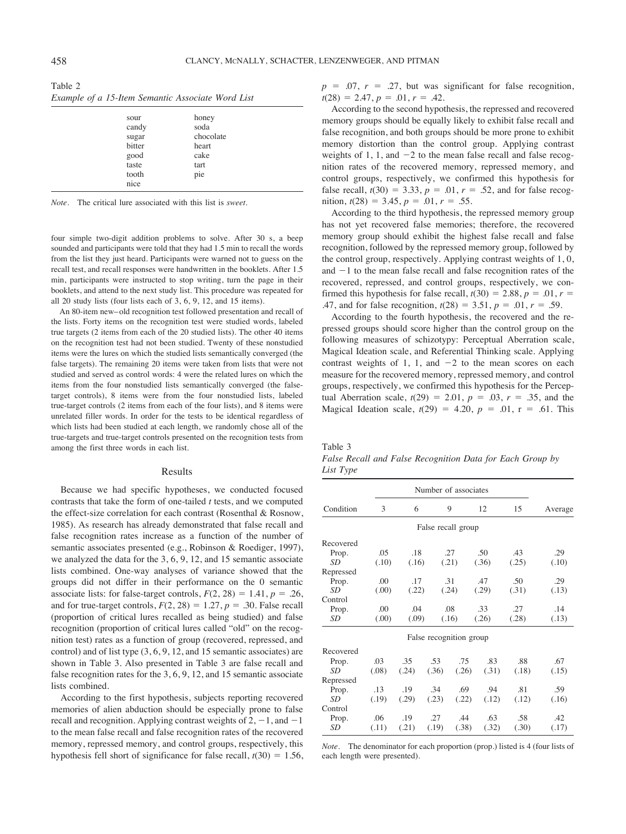| Table 2                                           |  |
|---------------------------------------------------|--|
| Example of a 15-Item Semantic Associate Word List |  |

| sour<br>candy<br>sugar<br>bitter<br>good<br>taste | honey<br>soda<br>chocolate<br>heart<br>cake<br>tart |
|---------------------------------------------------|-----------------------------------------------------|
| tooth                                             | pie                                                 |
| nice                                              |                                                     |
|                                                   |                                                     |

*Note.* The critical lure associated with this list is *sweet*.

four simple two-digit addition problems to solve. After 30 s, a beep sounded and participants were told that they had 1.5 min to recall the words from the list they just heard. Participants were warned not to guess on the recall test, and recall responses were handwritten in the booklets. After 1.5 min, participants were instructed to stop writing, turn the page in their booklets, and attend to the next study list. This procedure was repeated for all 20 study lists (four lists each of 3, 6, 9, 12, and 15 items).

An 80-item new–old recognition test followed presentation and recall of the lists. Forty items on the recognition test were studied words, labeled true targets (2 items from each of the 20 studied lists). The other 40 items on the recognition test had not been studied. Twenty of these nonstudied items were the lures on which the studied lists semantically converged (the false targets). The remaining 20 items were taken from lists that were not studied and served as control words: 4 were the related lures on which the items from the four nonstudied lists semantically converged (the falsetarget controls), 8 items were from the four nonstudied lists, labeled true-target controls (2 items from each of the four lists), and 8 items were unrelated filler words. In order for the tests to be identical regardless of which lists had been studied at each length, we randomly chose all of the true-targets and true-target controls presented on the recognition tests from among the first three words in each list.

#### Results

Because we had specific hypotheses, we conducted focused contrasts that take the form of one-tailed *t* tests, and we computed the effect-size correlation for each contrast (Rosenthal & Rosnow, 1985). As research has already demonstrated that false recall and false recognition rates increase as a function of the number of semantic associates presented (e.g., Robinson & Roediger, 1997), we analyzed the data for the 3, 6, 9, 12, and 15 semantic associate lists combined. One-way analyses of variance showed that the groups did not differ in their performance on the 0 semantic associate lists: for false-target controls,  $F(2, 28) = 1.41$ ,  $p = .26$ , and for true-target controls,  $F(2, 28) = 1.27$ ,  $p = .30$ . False recall (proportion of critical lures recalled as being studied) and false recognition (proportion of critical lures called "old" on the recognition test) rates as a function of group (recovered, repressed, and control) and of list type (3, 6, 9, 12, and 15 semantic associates) are shown in Table 3. Also presented in Table 3 are false recall and false recognition rates for the 3, 6, 9, 12, and 15 semantic associate lists combined.

According to the first hypothesis, subjects reporting recovered memories of alien abduction should be especially prone to false recall and recognition. Applying contrast weights of  $2, -1$ , and  $-1$ to the mean false recall and false recognition rates of the recovered memory, repressed memory, and control groups, respectively, this hypothesis fell short of significance for false recall,  $t(30) = 1.56$ ,  $p = .07$ ,  $r = .27$ , but was significant for false recognition,  $t(28) = 2.47, p = .01, r = .42.$ 

According to the second hypothesis, the repressed and recovered memory groups should be equally likely to exhibit false recall and false recognition, and both groups should be more prone to exhibit memory distortion than the control group. Applying contrast weights of 1, 1, and  $-2$  to the mean false recall and false recognition rates of the recovered memory, repressed memory, and control groups, respectively, we confirmed this hypothesis for false recall,  $t(30) = 3.33$ ,  $p = .01$ ,  $r = .52$ , and for false recognition,  $t(28) = 3.45$ ,  $p = .01$ ,  $r = .55$ .

According to the third hypothesis, the repressed memory group has not yet recovered false memories; therefore, the recovered memory group should exhibit the highest false recall and false recognition, followed by the repressed memory group, followed by the control group, respectively. Applying contrast weights of 1, 0, and  $-1$  to the mean false recall and false recognition rates of the recovered, repressed, and control groups, respectively, we confirmed this hypothesis for false recall,  $t(30) = 2.88$ ,  $p = .01$ ,  $r =$ .47, and for false recognition,  $t(28) = 3.51$ ,  $p = .01$ ,  $r = .59$ .

According to the fourth hypothesis, the recovered and the repressed groups should score higher than the control group on the following measures of schizotypy: Perceptual Aberration scale, Magical Ideation scale, and Referential Thinking scale. Applying contrast weights of 1, 1, and  $-2$  to the mean scores on each measure for the recovered memory, repressed memory, and control groups, respectively, we confirmed this hypothesis for the Perceptual Aberration scale,  $t(29) = 2.01$ ,  $p = .03$ ,  $r = .35$ , and the Magical Ideation scale,  $t(29) = 4.20$ ,  $p = .01$ ,  $r = .61$ . This

Table 3

*False Recall and False Recognition Data for Each Group by List Type*

|           | Number of associates |       |                         |       |       |       |         |
|-----------|----------------------|-------|-------------------------|-------|-------|-------|---------|
| Condition | 3                    | 6     |                         | 9     | 12    | 15    | Average |
|           |                      |       | False recall group      |       |       |       |         |
| Recovered |                      |       |                         |       |       |       |         |
| Prop.     | .05                  | .18   |                         | .27   | .50   | .43   | .29     |
| SD        | (.10)                | (.16) |                         | (.21) | (.36) | (.25) | (.10)   |
| Repressed |                      |       |                         |       |       |       |         |
| Prop.     | .00                  | .17   |                         | .31   | .47   | .50   | .29     |
| <b>SD</b> | (0.00)               | (.22) |                         | (.24) | (.29) | (.31) | (.13)   |
| Control   |                      |       |                         |       |       |       |         |
| Prop.     | .00                  | .04   |                         | .08   | .33   | .27   | .14     |
| SD        | (0.00)               | (.09) |                         | (.16) | (.26) | (.28) | (.13)   |
|           |                      |       | False recognition group |       |       |       |         |
| Recovered |                      |       |                         |       |       |       |         |
| Prop.     | .03                  | .35   | .53                     | .75   | .83   | .88   | .67     |
| SD        | (.08)                | (.24) | (.36)                   | (.26) | (.31) | (.18) | (.15)   |
| Repressed |                      |       |                         |       |       |       |         |
| Prop.     | .13                  | .19   | .34                     | .69   | .94   | .81   | .59     |
| <b>SD</b> | (.19)                | (.29) | (.23)                   | (.22) | (.12) | (.12) | (.16)   |
| Control   |                      |       |                         |       |       |       |         |
| Prop.     | .06                  | .19   | .27                     | .44   | .63   | .58   | .42     |
| SD        | (.11)                | (.21) | (.19)                   | (.38) | (.32) | (.30) | (.17)   |

*Note.* The denominator for each proportion (prop.) listed is 4 (four lists of each length were presented).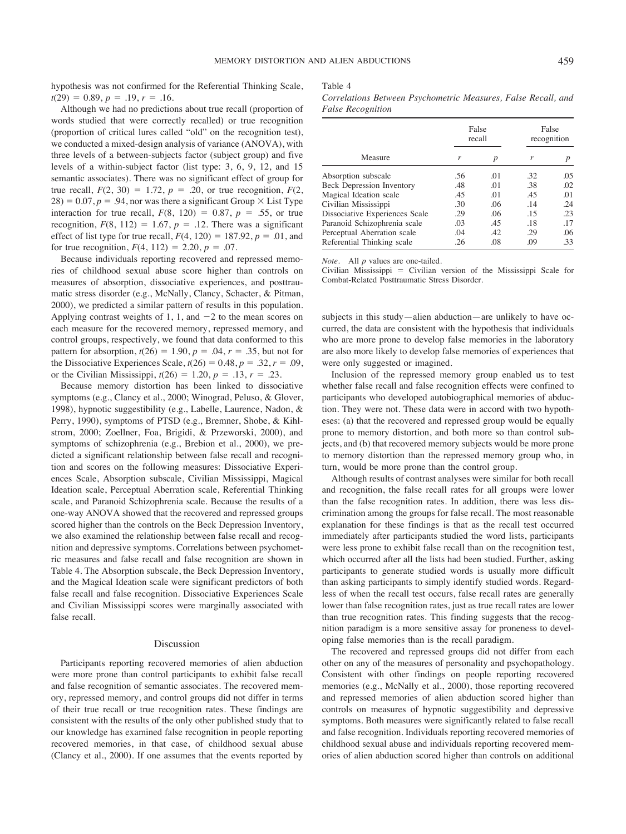hypothesis was not confirmed for the Referential Thinking Scale,  $t(29) = 0.89, p = .19, r = .16.$ 

Although we had no predictions about true recall (proportion of words studied that were correctly recalled) or true recognition (proportion of critical lures called "old" on the recognition test), we conducted a mixed-design analysis of variance (ANOVA), with three levels of a between-subjects factor (subject group) and five levels of a within-subject factor (list type: 3, 6, 9, 12, and 15 semantic associates). There was no significant effect of group for true recall,  $F(2, 30) = 1.72$ ,  $p = .20$ , or true recognition,  $F(2, 10)$  $28$ ) = 0.07,  $p = .94$ , nor was there a significant Group  $\times$  List Type interaction for true recall,  $F(8, 120) = 0.87$ ,  $p = .55$ , or true recognition,  $F(8, 112) = 1.67$ ,  $p = .12$ . There was a significant effect of list type for true recall,  $F(4, 120) = 187.92$ ,  $p = .01$ , and for true recognition,  $F(4, 112) = 2.20, p = .07$ .

Because individuals reporting recovered and repressed memories of childhood sexual abuse score higher than controls on measures of absorption, dissociative experiences, and posttraumatic stress disorder (e.g., McNally, Clancy, Schacter, & Pitman, 2000), we predicted a similar pattern of results in this population. Applying contrast weights of 1, 1, and  $-2$  to the mean scores on each measure for the recovered memory, repressed memory, and control groups, respectively, we found that data conformed to this pattern for absorption,  $t(26) = 1.90$ ,  $p = .04$ ,  $r = .35$ , but not for the Dissociative Experiences Scale,  $t(26) = 0.48$ ,  $p = .32$ ,  $r = .09$ , or the Civilian Mississippi,  $t(26) = 1.20$ ,  $p = .13$ ,  $r = .23$ .

Because memory distortion has been linked to dissociative symptoms (e.g., Clancy et al., 2000; Winograd, Peluso, & Glover, 1998), hypnotic suggestibility (e.g., Labelle, Laurence, Nadon, & Perry, 1990), symptoms of PTSD (e.g., Bremner, Shobe, & Kihlstrom, 2000; Zoellner, Foa, Brigidi, & Przeworski, 2000), and symptoms of schizophrenia (e.g., Brebion et al., 2000), we predicted a significant relationship between false recall and recognition and scores on the following measures: Dissociative Experiences Scale, Absorption subscale, Civilian Mississippi, Magical Ideation scale, Perceptual Aberration scale, Referential Thinking scale, and Paranoid Schizophrenia scale. Because the results of a one-way ANOVA showed that the recovered and repressed groups scored higher than the controls on the Beck Depression Inventory, we also examined the relationship between false recall and recognition and depressive symptoms. Correlations between psychometric measures and false recall and false recognition are shown in Table 4. The Absorption subscale, the Beck Depression Inventory, and the Magical Ideation scale were significant predictors of both false recall and false recognition. Dissociative Experiences Scale and Civilian Mississippi scores were marginally associated with false recall.

#### Discussion

Participants reporting recovered memories of alien abduction were more prone than control participants to exhibit false recall and false recognition of semantic associates. The recovered memory, repressed memory, and control groups did not differ in terms of their true recall or true recognition rates. These findings are consistent with the results of the only other published study that to our knowledge has examined false recognition in people reporting recovered memories, in that case, of childhood sexual abuse (Clancy et al., 2000). If one assumes that the events reported by

#### Table 4

*Correlations Between Psychometric Measures, False Recall, and False Recognition*

|                                  |     | False<br>recall | False<br>recognition |     |
|----------------------------------|-----|-----------------|----------------------|-----|
| Measure                          | r   | р               | r                    | р   |
| Absorption subscale              | .56 | .01             | .32                  | .05 |
| <b>Beck Depression Inventory</b> | .48 | .01             | .38                  | .02 |
| Magical Ideation scale           | .45 | .01             | .45                  | .01 |
| Civilian Mississippi             | .30 | .06             | .14                  | .24 |
| Dissociative Experiences Scale   | .29 | .06             | .15                  | .23 |
| Paranoid Schizophrenia scale     | .03 | .45             | .18                  | .17 |
| Perceptual Aberration scale      | .04 | .42             | .29                  | .06 |
| Referential Thinking scale       | .26 | .08             | .09                  | .33 |

*Note.* All *p* values are one-tailed.

Civilian Mississippi  $=$  Civilian version of the Mississippi Scale for Combat-Related Posttraumatic Stress Disorder.

subjects in this study—alien abduction—are unlikely to have occurred, the data are consistent with the hypothesis that individuals who are more prone to develop false memories in the laboratory are also more likely to develop false memories of experiences that were only suggested or imagined.

Inclusion of the repressed memory group enabled us to test whether false recall and false recognition effects were confined to participants who developed autobiographical memories of abduction. They were not. These data were in accord with two hypotheses: (a) that the recovered and repressed group would be equally prone to memory distortion, and both more so than control subjects, and (b) that recovered memory subjects would be more prone to memory distortion than the repressed memory group who, in turn, would be more prone than the control group.

Although results of contrast analyses were similar for both recall and recognition, the false recall rates for all groups were lower than the false recognition rates. In addition, there was less discrimination among the groups for false recall. The most reasonable explanation for these findings is that as the recall test occurred immediately after participants studied the word lists, participants were less prone to exhibit false recall than on the recognition test, which occurred after all the lists had been studied. Further, asking participants to generate studied words is usually more difficult than asking participants to simply identify studied words. Regardless of when the recall test occurs, false recall rates are generally lower than false recognition rates, just as true recall rates are lower than true recognition rates. This finding suggests that the recognition paradigm is a more sensitive assay for proneness to developing false memories than is the recall paradigm.

The recovered and repressed groups did not differ from each other on any of the measures of personality and psychopathology. Consistent with other findings on people reporting recovered memories (e.g., McNally et al., 2000), those reporting recovered and repressed memories of alien abduction scored higher than controls on measures of hypnotic suggestibility and depressive symptoms. Both measures were significantly related to false recall and false recognition. Individuals reporting recovered memories of childhood sexual abuse and individuals reporting recovered memories of alien abduction scored higher than controls on additional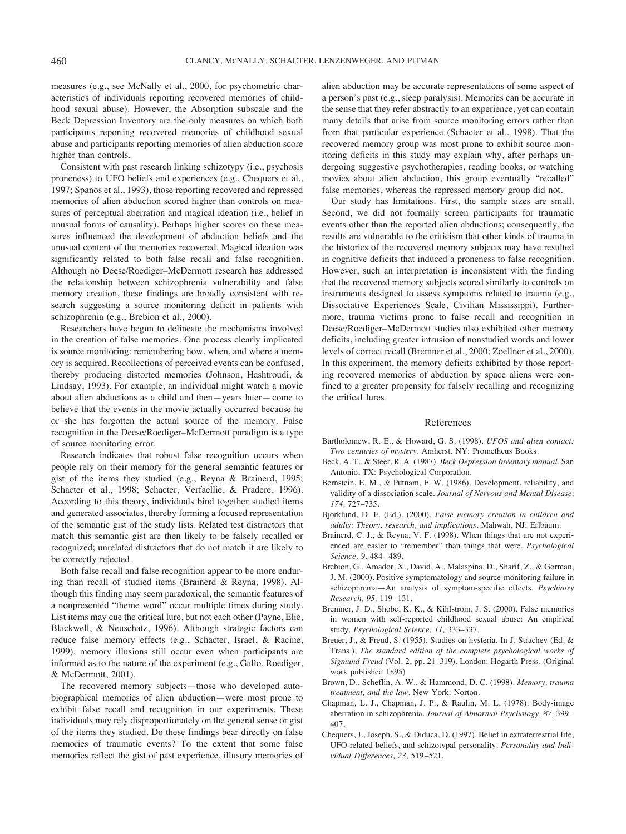measures (e.g., see McNally et al., 2000, for psychometric characteristics of individuals reporting recovered memories of childhood sexual abuse). However, the Absorption subscale and the Beck Depression Inventory are the only measures on which both participants reporting recovered memories of childhood sexual abuse and participants reporting memories of alien abduction score higher than controls.

Consistent with past research linking schizotypy (i.e., psychosis proneness) to UFO beliefs and experiences (e.g., Chequers et al., 1997; Spanos et al., 1993), those reporting recovered and repressed memories of alien abduction scored higher than controls on measures of perceptual aberration and magical ideation (i.e., belief in unusual forms of causality). Perhaps higher scores on these measures influenced the development of abduction beliefs and the unusual content of the memories recovered. Magical ideation was significantly related to both false recall and false recognition. Although no Deese/Roediger–McDermott research has addressed the relationship between schizophrenia vulnerability and false memory creation, these findings are broadly consistent with research suggesting a source monitoring deficit in patients with schizophrenia (e.g., Brebion et al., 2000).

Researchers have begun to delineate the mechanisms involved in the creation of false memories. One process clearly implicated is source monitoring: remembering how, when, and where a memory is acquired. Recollections of perceived events can be confused, thereby producing distorted memories (Johnson, Hashtroudi, & Lindsay, 1993). For example, an individual might watch a movie about alien abductions as a child and then—years later—come to believe that the events in the movie actually occurred because he or she has forgotten the actual source of the memory. False recognition in the Deese/Roediger–McDermott paradigm is a type of source monitoring error.

Research indicates that robust false recognition occurs when people rely on their memory for the general semantic features or gist of the items they studied (e.g., Reyna & Brainerd, 1995; Schacter et al., 1998; Schacter, Verfaellie, & Pradere, 1996). According to this theory, individuals bind together studied items and generated associates, thereby forming a focused representation of the semantic gist of the study lists. Related test distractors that match this semantic gist are then likely to be falsely recalled or recognized; unrelated distractors that do not match it are likely to be correctly rejected.

Both false recall and false recognition appear to be more enduring than recall of studied items (Brainerd & Reyna, 1998). Although this finding may seem paradoxical, the semantic features of a nonpresented "theme word" occur multiple times during study. List items may cue the critical lure, but not each other (Payne, Elie, Blackwell, & Neuschatz, 1996). Although strategic factors can reduce false memory effects (e.g., Schacter, Israel, & Racine, 1999), memory illusions still occur even when participants are informed as to the nature of the experiment (e.g., Gallo, Roediger, & McDermott, 2001).

The recovered memory subjects—those who developed autobiographical memories of alien abduction—were most prone to exhibit false recall and recognition in our experiments. These individuals may rely disproportionately on the general sense or gist of the items they studied. Do these findings bear directly on false memories of traumatic events? To the extent that some false memories reflect the gist of past experience, illusory memories of alien abduction may be accurate representations of some aspect of a person's past (e.g., sleep paralysis). Memories can be accurate in the sense that they refer abstractly to an experience, yet can contain many details that arise from source monitoring errors rather than from that particular experience (Schacter et al., 1998). That the recovered memory group was most prone to exhibit source monitoring deficits in this study may explain why, after perhaps undergoing suggestive psychotherapies, reading books, or watching movies about alien abduction, this group eventually "recalled" false memories, whereas the repressed memory group did not.

Our study has limitations. First, the sample sizes are small. Second, we did not formally screen participants for traumatic events other than the reported alien abductions; consequently, the results are vulnerable to the criticism that other kinds of trauma in the histories of the recovered memory subjects may have resulted in cognitive deficits that induced a proneness to false recognition. However, such an interpretation is inconsistent with the finding that the recovered memory subjects scored similarly to controls on instruments designed to assess symptoms related to trauma (e.g., Dissociative Experiences Scale, Civilian Mississippi). Furthermore, trauma victims prone to false recall and recognition in Deese/Roediger–McDermott studies also exhibited other memory deficits, including greater intrusion of nonstudied words and lower levels of correct recall (Bremner et al., 2000; Zoellner et al., 2000). In this experiment, the memory deficits exhibited by those reporting recovered memories of abduction by space aliens were confined to a greater propensity for falsely recalling and recognizing the critical lures.

### References

- Bartholomew, R. E., & Howard, G. S. (1998). *UFOS and alien contact: Two centuries of mystery.* Amherst, NY: Prometheus Books.
- Beck, A. T., & Steer, R. A. (1987). *Beck Depression Inventory manual.* San Antonio, TX: Psychological Corporation.
- Bernstein, E. M., & Putnam, F. W. (1986). Development, reliability, and validity of a dissociation scale. *Journal of Nervous and Mental Disease, 174,* 727–735.
- Bjorklund, D. F. (Ed.). (2000). *False memory creation in children and adults: Theory, research, and implications.* Mahwah, NJ: Erlbaum.
- Brainerd, C. J., & Reyna, V. F. (1998). When things that are not experienced are easier to "remember" than things that were. *Psychological Science, 9,* 484–489.
- Brebion, G., Amador, X., David, A., Malaspina, D., Sharif, Z., & Gorman, J. M. (2000). Positive symptomatology and source-monitoring failure in schizophrenia—An analysis of symptom-specific effects. *Psychiatry Research, 95,* 119–131.
- Bremner, J. D., Shobe, K. K., & Kihlstrom, J. S. (2000). False memories in women with self-reported childhood sexual abuse: An empirical study. *Psychological Science, 11,* 333–337.
- Breuer, J., & Freud, S. (1955). Studies on hysteria. In J. Strachey (Ed. & Trans.), *The standard edition of the complete psychological works of Sigmund Freud* (Vol. 2, pp. 21–319). London: Hogarth Press. (Original work published 1895)
- Brown, D., Scheflin, A. W., & Hammond, D. C. (1998). *Memory, trauma treatment, and the law.* New York: Norton.
- Chapman, L. J., Chapman, J. P., & Raulin, M. L. (1978). Body-image aberration in schizophrenia. *Journal of Abnormal Psychology, 87,* 399– 407.
- Chequers, J., Joseph, S., & Diduca, D. (1997). Belief in extraterrestrial life, UFO-related beliefs, and schizotypal personality. *Personality and Individual Differences, 23,* 519–521.